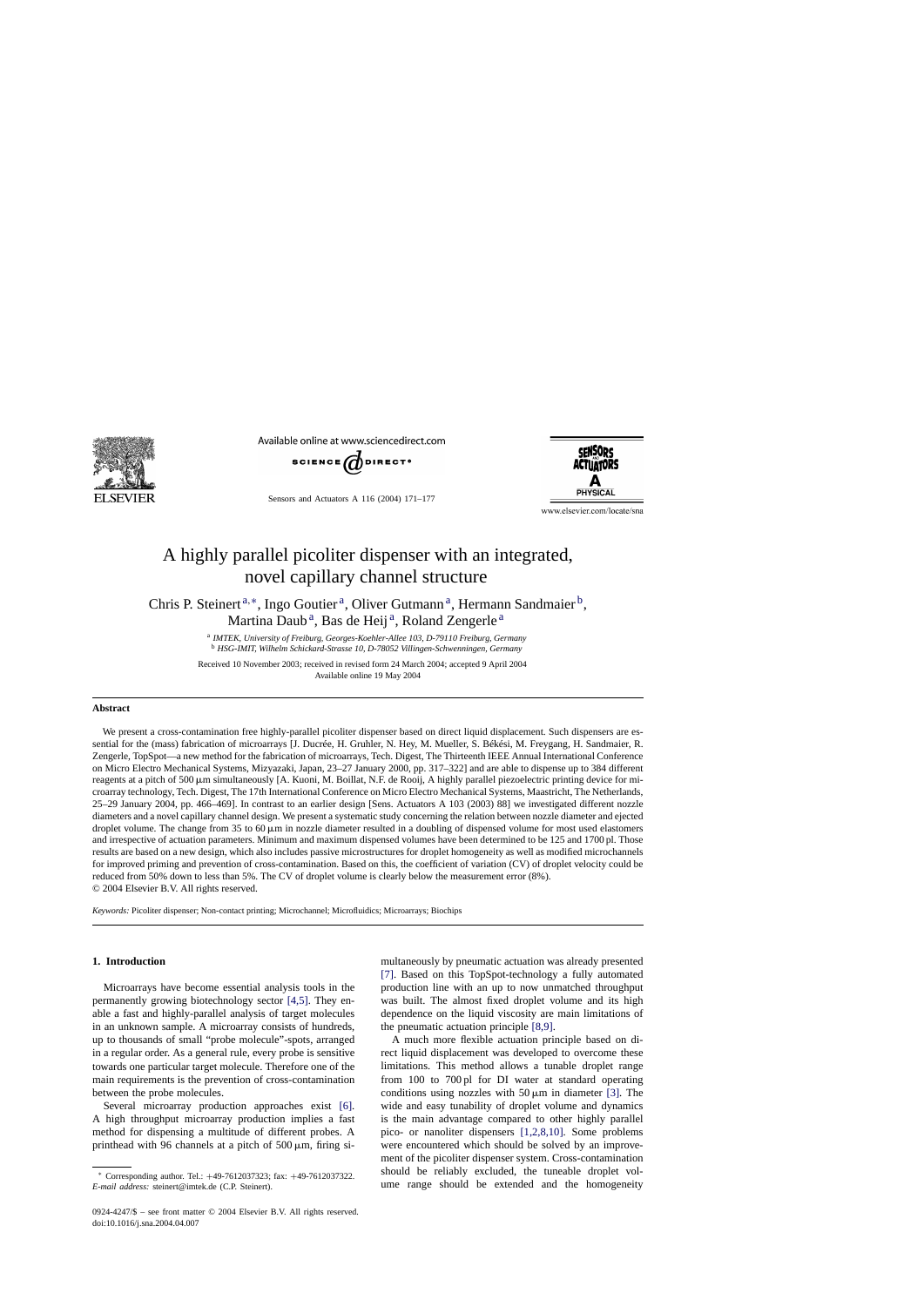

Available online at www.sciencedirect.com



Sensors and Actuators A 116 (2004) 171–177



www.elsevier.com/locate/sna

# A highly parallel picoliter dispenser with an integrated, novel capillary channel structure

Chris P. Steinert<sup>a,∗</sup>, Ingo Goutier<sup>a</sup>, Oliver Gutmann<sup>a</sup>, Hermann Sandmaier<sup>b</sup>, Martina Daub<sup>a</sup>, Bas de Heij<sup>a</sup>, Roland Zengerle<sup>a</sup>

> <sup>a</sup> *IMTEK, University of Freiburg, Georges-Koehler-Allee 103, D-79110 Freiburg, Germany* <sup>b</sup> *HSG-IMIT, Wilhelm Schickard-Strasse 10, D-78052 Villingen-Schwenningen, Germany*

Received 10 November 2003; received in revised form 24 March 2004; accepted 9 April 2004 Available online 19 May 2004

## **Abstract**

We present a cross-contamination free highly-parallel picoliter dispenser based on direct liquid displacement. Such dispensers are essential for the (mass) fabrication of microarrays [J. Ducrée, H. Gruhler, N. Hey, M. Mueller, S. Békési, M. Freygang, H. Sandmaier, R. Zengerle, TopSpot—a new method for the fabrication of microarrays, Tech. Digest, The Thirteenth IEEE Annual International Conference on Micro Electro Mechanical Systems, Mizyazaki, Japan, 23–27 January 2000, pp. 317–322] and are able to dispense up to 384 different reagents at a pitch of 500  $\mu$ m simultaneously [A. Kuoni, M. Boillat, N.F. de Rooij, A highly parallel piezoelectric printing device for microarray technology, Tech. Digest, The 17th International Conference on Micro Electro Mechanical Systems, Maastricht, The Netherlands, 25–29 January 2004, pp. 466–469]. In contrast to an earlier design [Sens. Actuators A 103 (2003) 88] we investigated different nozzle diameters and a novel capillary channel design. We present a systematic study concerning the relation between nozzle diameter and ejected droplet volume. The change from 35 to 60  $\mu$ m in nozzle diameter resulted in a doubling of dispensed volume for most used elastomers and irrespective of actuation parameters. Minimum and maximum dispensed volumes have been determined to be 125 and 1700 pl. Those results are based on a new design, which also includes passive microstructures for droplet homogeneity as well as modified microchannels for improved priming and prevention of cross-contamination. Based on this, the coefficient of variation (CV) of droplet velocity could be reduced from 50% down to less than 5%. The CV of droplet volume is clearly below the measurement error (8%). © 2004 Elsevier B.V. All rights reserved.

*Keywords:* Picoliter dispenser; Non-contact printing; Microchannel; Microfluidics; Microarrays; Biochips

## **1. Introduction**

Microarrays have become essential analysis tools in the permanently growing biotechnology sector [\[4,5\].](#page-6-0) They enable a fast and highly-parallel analysis of target molecules in an unknown sample. A microarray consists of hundreds, up to thousands of small "probe molecule"-spots, arranged in a regular order. As a general rule, every probe is sensitive towards one particular target molecule. Therefore one of the main requirements is the prevention of cross-contamination between the probe molecules.

Several microarray production approaches exist [\[6\].](#page-6-0) A high throughput microarray production implies a fast method for dispensing a multitude of different probes. A printhead with 96 channels at a pitch of  $500 \mu m$ , firing simultaneously by pneumatic actuation was already presented [\[7\].](#page-6-0) Based on this TopSpot-technology a fully automated production line with an up to now unmatched throughput was built. The almost fixed droplet volume and its high dependence on the liquid viscosity are main limitations of the pneumatic actuation principle [\[8,9\].](#page-6-0)

A much more flexible actuation principle based on direct liquid displacement was developed to overcome these limitations. This method allows a tunable droplet range from 100 to 700 pl for DI water at standard operating conditions using nozzles with  $50 \mu m$  in diameter [\[3\].](#page-6-0) The wide and easy tunability of droplet volume and dynamics is the main advantage compared to other highly parallel pico- or nanoliter dispensers [\[1,2,8,10\].](#page-5-0) Some problems were encountered which should be solved by an improvement of the picoliter dispenser system. Cross-contamination should be reliably excluded, the tuneable droplet volume range should be extended and the homogeneity

<sup>∗</sup> Corresponding author. Tel.: +49-7612037323; fax: +49-7612037322. *E-mail address:* steinert@imtek.de (C.P. Steinert).

<sup>0924-4247/\$ –</sup> see front matter © 2004 Elsevier B.V. All rights reserved. doi:10.1016/j.sna.2004.04.007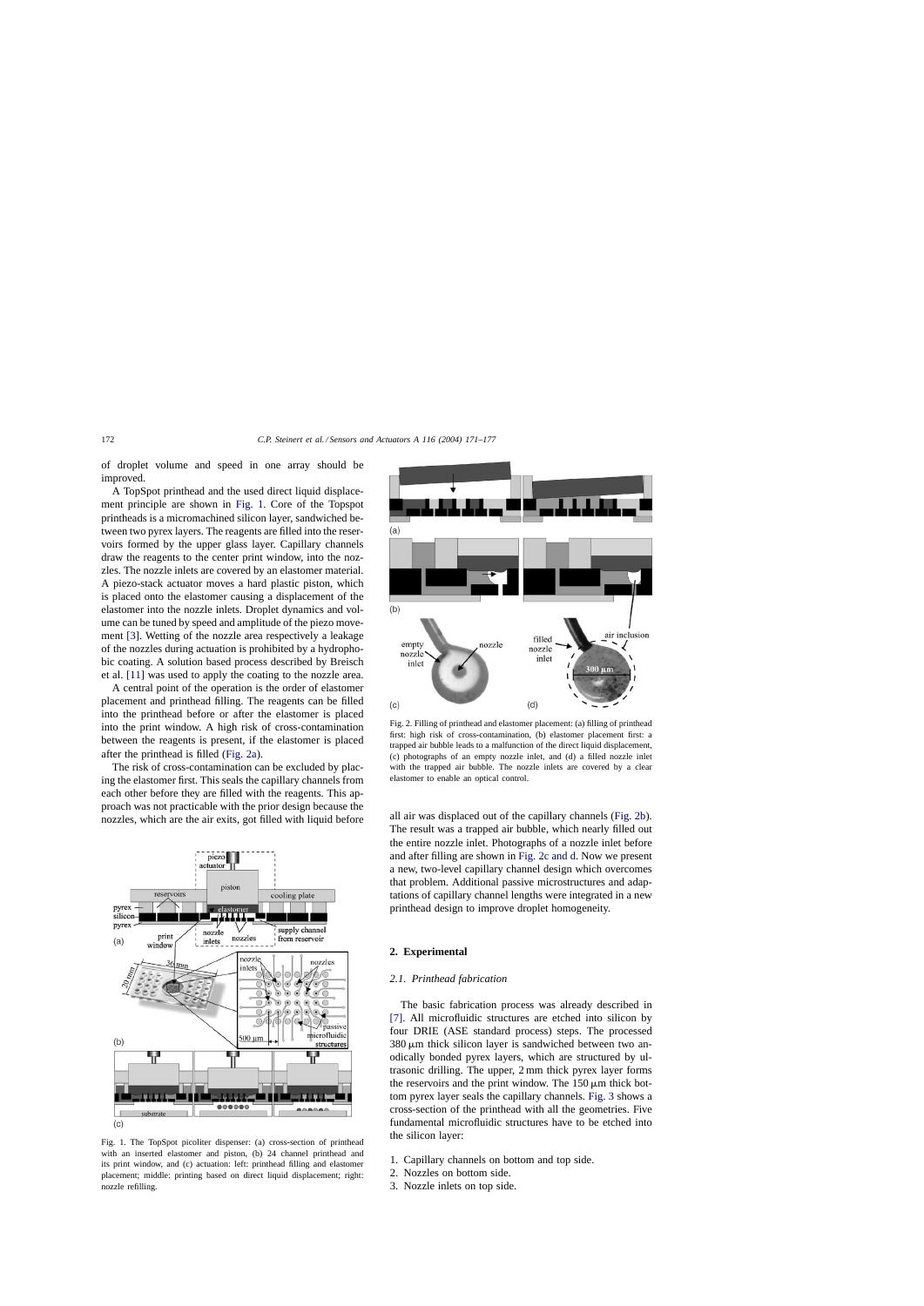of droplet volume and speed in one array should be improved.

A TopSpot printhead and the used direct liquid displacement principle are shown in Fig. 1. Core of the Topspot printheads is a micromachined silicon layer, sandwiched between two pyrex layers. The reagents are filled into the reservoirs formed by the upper glass layer. Capillary channels draw the reagents to the center print window, into the nozzles. The nozzle inlets are covered by an elastomer material. A piezo-stack actuator moves a hard plastic piston, which is placed onto the elastomer causing a displacement of the elastomer into the nozzle inlets. Droplet dynamics and volume can be tuned by speed and amplitude of the piezo movement [\[3\].](#page-6-0) Wetting of the nozzle area respectively a leakage of the nozzles during actuation is prohibited by a hydrophobic coating. A solution based process described by Breisch et al. [\[11\]](#page-6-0) was used to apply the coating to the nozzle area.

A central point of the operation is the order of elastomer placement and printhead filling. The reagents can be filled into the printhead before or after the elastomer is placed into the print window. A high risk of cross-contamination between the reagents is present, if the elastomer is placed after the printhead is filled (Fig. 2a).

The risk of cross-contamination can be excluded by placing the elastomer first. This seals the capillary channels from each other before they are filled with the reagents. This approach was not practicable with the prior design because the nozzles, which are the air exits, got filled with liquid before



Fig. 1. The TopSpot picoliter dispenser: (a) cross-section of printhead with an inserted elastomer and piston, (b) 24 channel printhead and its print window, and (c) actuation: left: printhead filling and elastomer placement; middle: printing based on direct liquid displacement; right: nozzle refilling.



Fig. 2. Filling of printhead and elastomer placement: (a) filling of printhead first: high risk of cross-contamination, (b) elastomer placement first: a trapped air bubble leads to a malfunction of the direct liquid displacement, (c) photographs of an empty nozzle inlet, and (d) a filled nozzle inlet with the trapped air bubble. The nozzle inlets are covered by a clear elastomer to enable an optical control.

all air was displaced out of the capillary channels (Fig. 2b). The result was a trapped air bubble, which nearly filled out the entire nozzle inlet. Photographs of a nozzle inlet before and after filling are shown in Fig. 2c and d. Now we present a new, two-level capillary channel design which overcomes that problem. Additional passive microstructures and adaptations of capillary channel lengths were integrated in a new printhead design to improve droplet homogeneity.

## **2. Experimental**

## *2.1. Printhead fabrication*

The basic fabrication process was already described in [\[7\].](#page-6-0) All microfluidic structures are etched into silicon by four DRIE (ASE standard process) steps. The processed  $380 \mu m$  thick silicon layer is sandwiched between two anodically bonded pyrex layers, which are structured by ultrasonic drilling. The upper, 2 mm thick pyrex layer forms the reservoirs and the print window. The  $150 \mu m$  thick bottom pyrex layer seals the capillary channels. [Fig. 3](#page-2-0) shows a cross-section of the printhead with all the geometries. Five fundamental microfluidic structures have to be etched into the silicon layer:

- 1. Capillary channels on bottom and top side.
- 2. Nozzles on bottom side.
- 3. Nozzle inlets on top side.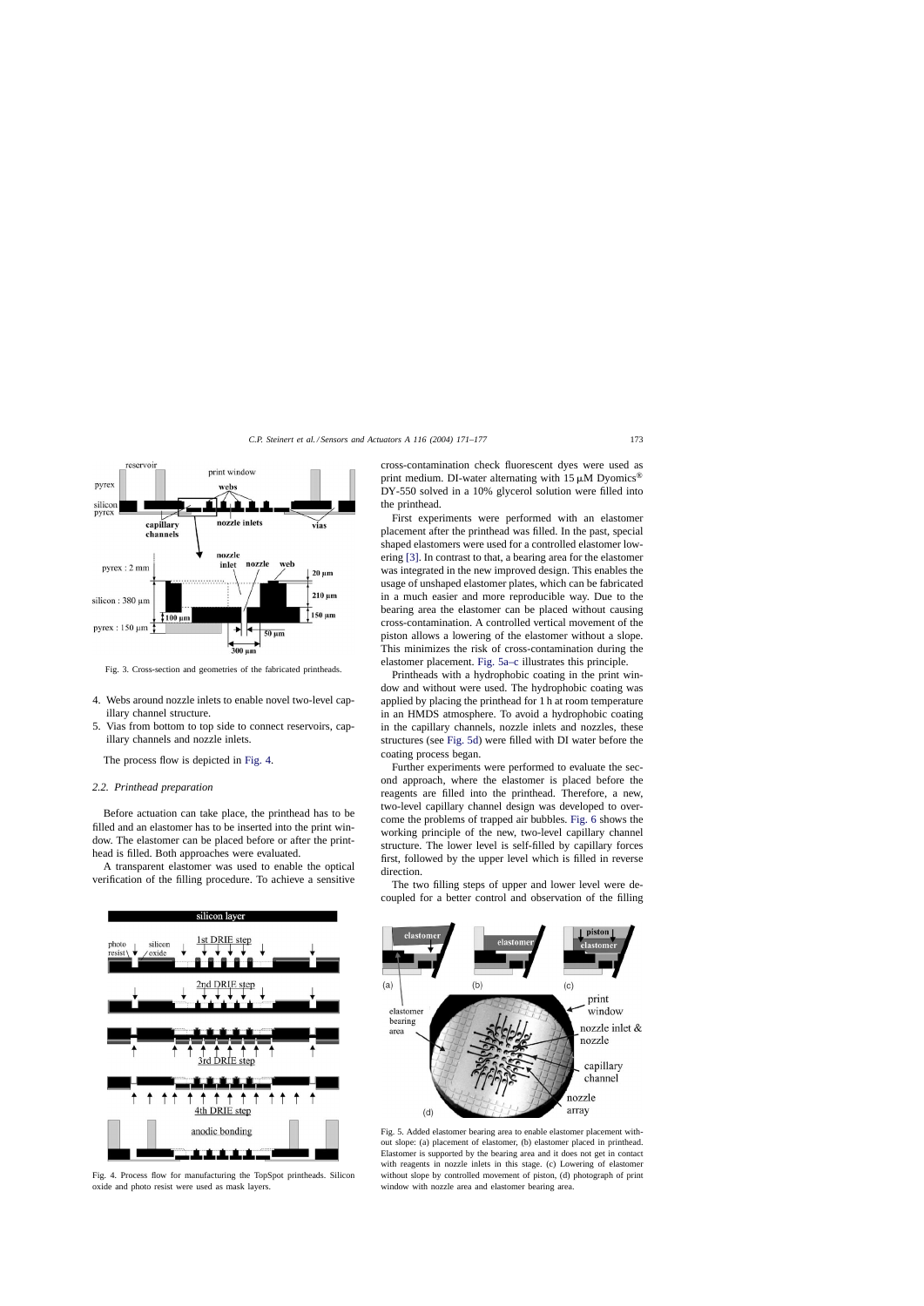<span id="page-2-0"></span>

Fig. 3. Cross-section and geometries of the fabricated printheads.

- 4. Webs around nozzle inlets to enable novel two-level capillary channel structure.
- 5. Vias from bottom to top side to connect reservoirs, capillary channels and nozzle inlets.

The process flow is depicted in Fig. 4.

## *2.2. Printhead preparation*

Before actuation can take place, the printhead has to be filled and an elastomer has to be inserted into the print window. The elastomer can be placed before or after the printhead is filled. Both approaches were evaluated.

A transparent elastomer was used to enable the optical verification of the filling procedure. To achieve a sensitive



Fig. 4. Process flow for manufacturing the TopSpot printheads. Silicon oxide and photo resist were used as mask layers.

cross-contamination check fluorescent dyes were used as print medium. DI-water alternating with  $15 \mu M$  Dyomics<sup>®</sup> DY-550 solved in a 10% glycerol solution were filled into the printhead.

First experiments were performed with an elastomer placement after the printhead was filled. In the past, special shaped elastomers were used for a controlled elastomer lowering [\[3\]. I](#page-6-0)n contrast to that, a bearing area for the elastomer was integrated in the new improved design. This enables the usage of unshaped elastomer plates, which can be fabricated in a much easier and more reproducible way. Due to the bearing area the elastomer can be placed without causing cross-contamination. A controlled vertical movement of the piston allows a lowering of the elastomer without a slope. This minimizes the risk of cross-contamination during the elastomer placement. Fig. 5a–c illustrates this principle.

Printheads with a hydrophobic coating in the print window and without were used. The hydrophobic coating was applied by placing the printhead for 1 h at room temperature in an HMDS atmosphere. To avoid a hydrophobic coating in the capillary channels, nozzle inlets and nozzles, these structures (see Fig. 5d) were filled with DI water before the coating process began.

Further experiments were performed to evaluate the second approach, where the elastomer is placed before the reagents are filled into the printhead. Therefore, a new, two-level capillary channel design was developed to overcome the problems of trapped air bubbles. [Fig. 6](#page-3-0) shows the working principle of the new, two-level capillary channel structure. The lower level is self-filled by capillary forces first, followed by the upper level which is filled in reverse direction.

The two filling steps of upper and lower level were decoupled for a better control and observation of the filling



Fig. 5. Added elastomer bearing area to enable elastomer placement without slope: (a) placement of elastomer, (b) elastomer placed in printhead. Elastomer is supported by the bearing area and it does not get in contact with reagents in nozzle inlets in this stage. (c) Lowering of elastomer without slope by controlled movement of piston, (d) photograph of print window with nozzle area and elastomer bearing area.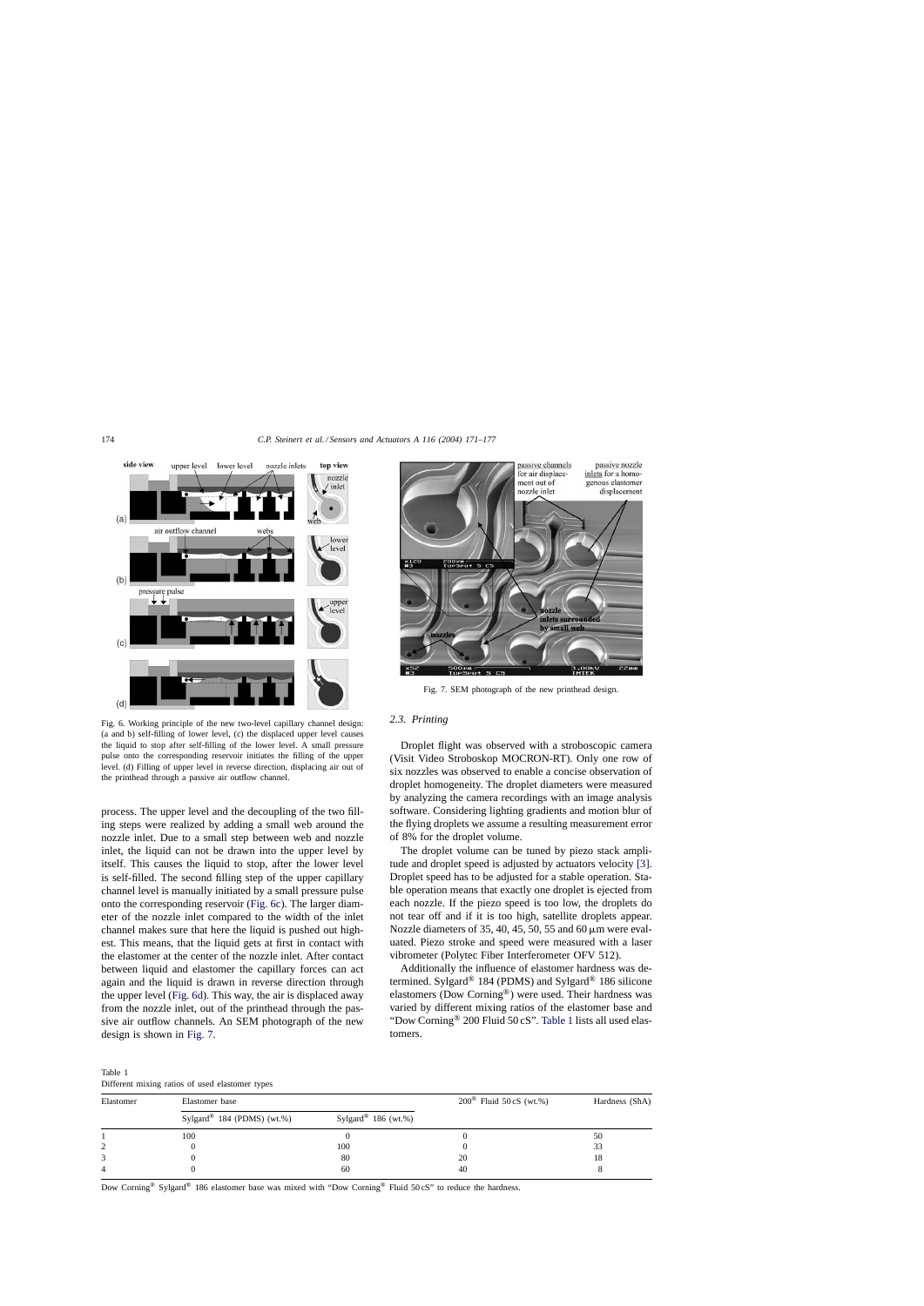<span id="page-3-0"></span>

Fig. 6. Working principle of the new two-level capillary channel design: (a and b) self-filling of lower level, (c) the displaced upper level causes the liquid to stop after self-filling of the lower level. A small pressure pulse onto the corresponding reservoir initiates the filling of the upper level. (d) Filling of upper level in reverse direction, displacing air out of the printhead through a passive air outflow channel.

process. The upper level and the decoupling of the two filling steps were realized by adding a small web around the nozzle inlet. Due to a small step between web and nozzle inlet, the liquid can not be drawn into the upper level by itself. This causes the liquid to stop, after the lower level is self-filled. The second filling step of the upper capillary channel level is manually initiated by a small pressure pulse onto the corresponding reservoir (Fig. 6c). The larger diameter of the nozzle inlet compared to the width of the inlet channel makes sure that here the liquid is pushed out highest. This means, that the liquid gets at first in contact with the elastomer at the center of the nozzle inlet. After contact between liquid and elastomer the capillary forces can act again and the liquid is drawn in reverse direction through the upper level (Fig. 6d). This way, the air is displaced away from the nozzle inlet, out of the printhead through the passive air outflow channels. An SEM photograph of the new design is shown in Fig. 7.



Fig. 7. SEM photograph of the new printhead design.

## *2.3. Printing*

Droplet flight was observed with a stroboscopic camera (Visit Video Stroboskop MOCRON-RT). Only one row of six nozzles was observed to enable a concise observation of droplet homogeneity. The droplet diameters were measured by analyzing the camera recordings with an image analysis software. Considering lighting gradients and motion blur of the flying droplets we assume a resulting measurement error of 8% for the droplet volume.

The droplet volume can be tuned by piezo stack amplitude and droplet speed is adjusted by actuators velocity [\[3\].](#page-6-0) Droplet speed has to be adjusted for a stable operation. Stable operation means that exactly one droplet is ejected from each nozzle. If the piezo speed is too low, the droplets do not tear off and if it is too high, satellite droplets appear. Nozzle diameters of 35, 40, 45, 50, 55 and 60  $\mu$ m were evaluated. Piezo stroke and speed were measured with a laser vibrometer (Polytec Fiber Interferometer OFV 512).

Additionally the influence of elastomer hardness was determined. Sylgard® 184 (PDMS) and Sylgard® 186 silicone elastomers (Dow Corning®) were used. Their hardness was varied by different mixing ratios of the elastomer base and "Dow Corning® 200 Fluid 50 cS". Table 1 lists all used elastomers.

Table 1 Different mixing ratios of used elastomer types

| Binerent mixing ratios of asea enatomer types |                                        |                                 |                                  |                |
|-----------------------------------------------|----------------------------------------|---------------------------------|----------------------------------|----------------|
| Elastomer                                     | Elastomer base                         |                                 | $200^{\circ}$ Fluid 50 cS (wt.%) | Hardness (ShA) |
|                                               | Sylgard <sup>®</sup> 184 (PDMS) (wt.%) | Sylgard <sup>®</sup> 186 (wt.%) |                                  |                |
|                                               | 100                                    |                                 |                                  | 50             |
|                                               |                                        | 100                             |                                  | 33             |
|                                               |                                        | 80                              | 20                               | 18             |
|                                               |                                        | 60                              | 40                               |                |
|                                               |                                        |                                 |                                  |                |

Dow Corning® Sylgard® 186 elastomer base was mixed with "Dow Corning® Fluid 50 cS" to reduce the hardness.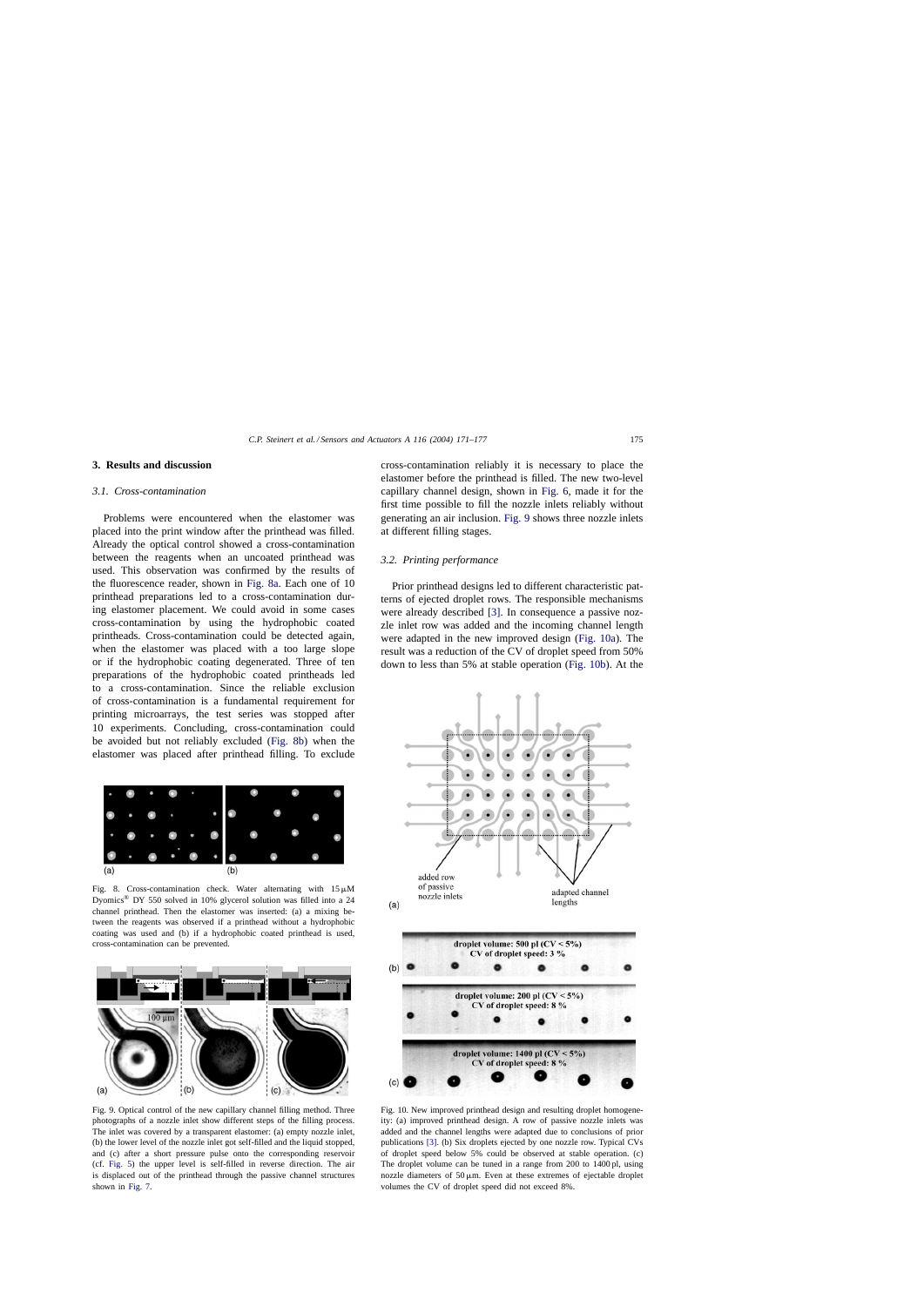## <span id="page-4-0"></span>**3. Results and discussion**

#### *3.1. Cross-contamination*

Problems were encountered when the elastomer was placed into the print window after the printhead was filled. Already the optical control showed a cross-contamination between the reagents when an uncoated printhead was used. This observation was confirmed by the results of the fluorescence reader, shown in Fig. 8a. Each one of 10 printhead preparations led to a cross-contamination during elastomer placement. We could avoid in some cases cross-contamination by using the hydrophobic coated printheads. Cross-contamination could be detected again, when the elastomer was placed with a too large slope or if the hydrophobic coating degenerated. Three of ten preparations of the hydrophobic coated printheads led to a cross-contamination. Since the reliable exclusion of cross-contamination is a fundamental requirement for printing microarrays, the test series was stopped after 10 experiments. Concluding, cross-contamination could be avoided but not reliably excluded (Fig. 8b) when the elastomer was placed after printhead filling. To exclude



Fig. 8. Cross-contamination check. Water alternating with  $15 \mu M$ Dyomics® DY 550 solved in 10% glycerol solution was filled into a 24 channel printhead. Then the elastomer was inserted: (a) a mixing between the reagents was observed if a printhead without a hydrophobic coating was used and (b) if a hydrophobic coated printhead is used, cross-contamination can be prevented.



Fig. 9. Optical control of the new capillary channel filling method. Three photographs of a nozzle inlet show different steps of the filling process. The inlet was covered by a transparent elastomer: (a) empty nozzle inlet, (b) the lower level of the nozzle inlet got self-filled and the liquid stopped, and (c) after a short pressure pulse onto the corresponding reservoir (cf. [Fig. 5\)](#page-2-0) the upper level is self-filled in reverse direction. The air is displaced out of the printhead through the passive channel structures shown in [Fig. 7.](#page-3-0)

cross-contamination reliably it is necessary to place the elastomer before the printhead is filled. The new two-level capillary channel design, shown in [Fig. 6,](#page-3-0) made it for the first time possible to fill the nozzle inlets reliably without generating an air inclusion. Fig. 9 shows three nozzle inlets at different filling stages.

## *3.2. Printing performance*

Prior printhead designs led to different characteristic patterns of ejected droplet rows. The responsible mechanisms were already described [\[3\].](#page-6-0) In consequence a passive nozzle inlet row was added and the incoming channel length were adapted in the new improved design (Fig. 10a). The result was a reduction of the CV of droplet speed from 50% down to less than 5% at stable operation (Fig. 10b). At the



Fig. 10. New improved printhead design and resulting droplet homogeneity: (a) improved printhead design. A row of passive nozzle inlets was added and the channel lengths were adapted due to conclusions of prior publications [\[3\]. \(](#page-6-0)b) Six droplets ejected by one nozzle row. Typical CVs of droplet speed below 5% could be observed at stable operation. (c) The droplet volume can be tuned in a range from 200 to 1400 pl, using nozzle diameters of  $50 \mu m$ . Even at these extremes of ejectable droplet volumes the CV of droplet speed did not exceed 8%.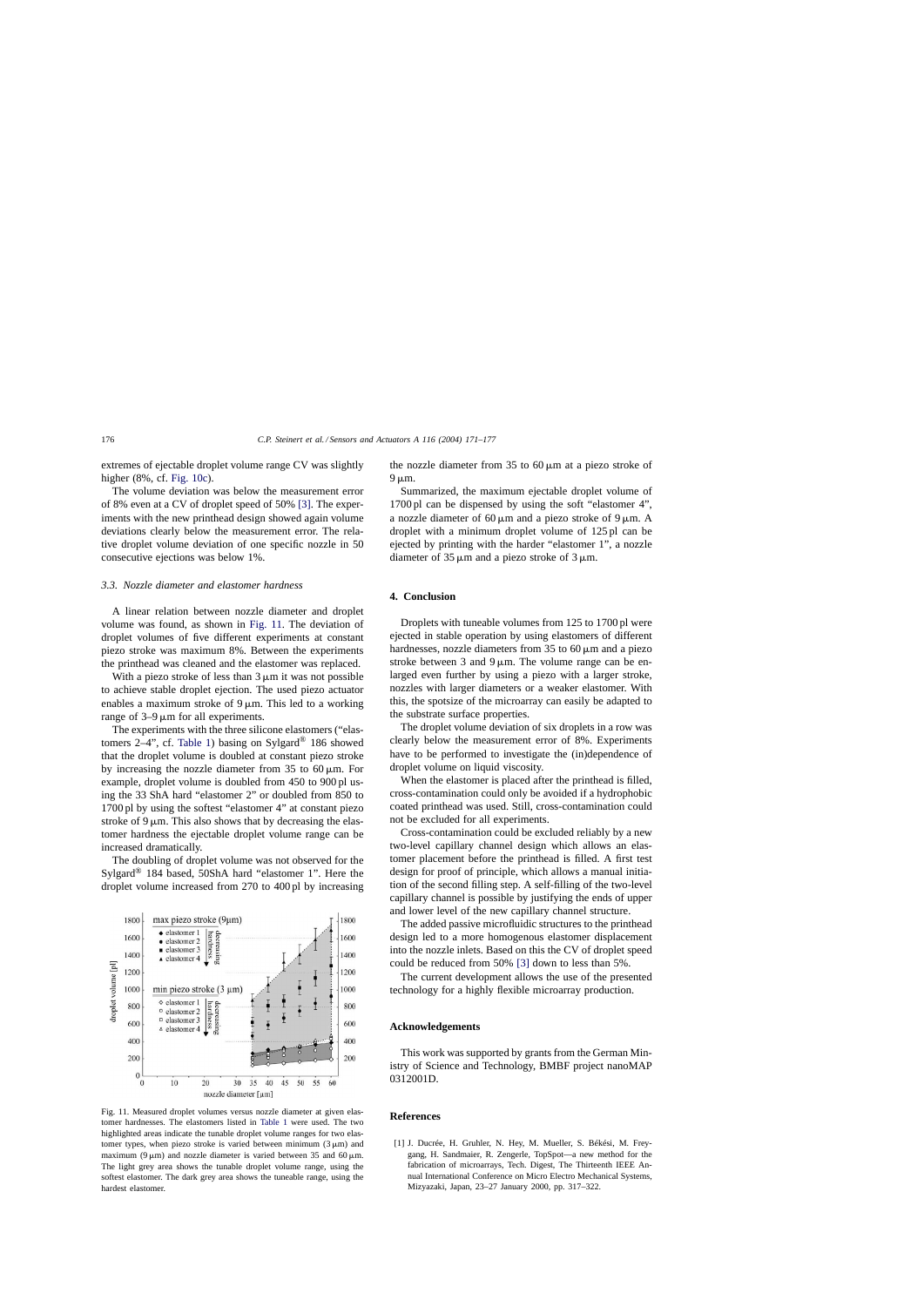<span id="page-5-0"></span>extremes of ejectable droplet volume range CV was slightly higher (8%, cf. [Fig. 10c\).](#page-4-0)

The volume deviation was below the measurement error of 8% even at a CV of droplet speed of 50% [\[3\].](#page-6-0) The experiments with the new printhead design showed again volume deviations clearly below the measurement error. The relative droplet volume deviation of one specific nozzle in 50 consecutive ejections was below 1%.

## *3.3. Nozzle diameter and elastomer hardness*

A linear relation between nozzle diameter and droplet volume was found, as shown in Fig. 11. The deviation of droplet volumes of five different experiments at constant piezo stroke was maximum 8%. Between the experiments the printhead was cleaned and the elastomer was replaced.

With a piezo stroke of less than  $3 \mu m$  it was not possible to achieve stable droplet ejection. The used piezo actuator enables a maximum stroke of  $9 \mu m$ . This led to a working range of  $3-9 \mu m$  for all experiments.

The experiments with the three silicone elastomers ("elas-tomers 2–4", cf. [Table 1\)](#page-3-0) basing on Sylgard<sup>®</sup> 186 showed that the droplet volume is doubled at constant piezo stroke by increasing the nozzle diameter from 35 to 60  $\mu$ m. For example, droplet volume is doubled from 450 to 900 pl using the 33 ShA hard "elastomer 2" or doubled from 850 to 1700 pl by using the softest "elastomer 4" at constant piezo stroke of  $9 \mu m$ . This also shows that by decreasing the elastomer hardness the ejectable droplet volume range can be increased dramatically.

The doubling of droplet volume was not observed for the Sylgard® 184 based, 50ShA hard "elastomer 1". Here the droplet volume increased from 270 to 400 pl by increasing



Fig. 11. Measured droplet volumes versus nozzle diameter at given elastomer hardnesses. The elastomers listed in [Table 1](#page-3-0) were used. The two highlighted areas indicate the tunable droplet volume ranges for two elastomer types, when piezo stroke is varied between minimum  $(3 \mu m)$  and maximum (9  $\mu$ m) and nozzle diameter is varied between 35 and 60  $\mu$ m. The light grey area shows the tunable droplet volume range, using the softest elastomer. The dark grey area shows the tuneable range, using the hardest elastomer.

the nozzle diameter from 35 to 60  $\mu$ m at a piezo stroke of  $9 \mu m$ .

Summarized, the maximum ejectable droplet volume of 1700 pl can be dispensed by using the soft "elastomer 4", a nozzle diameter of 60  $\mu$ m and a piezo stroke of 9  $\mu$ m. A droplet with a minimum droplet volume of 125 pl can be ejected by printing with the harder "elastomer 1", a nozzle diameter of  $35 \mu m$  and a piezo stroke of  $3 \mu m$ .

## **4. Conclusion**

Droplets with tuneable volumes from 125 to 1700 pl were ejected in stable operation by using elastomers of different hardnesses, nozzle diameters from  $35$  to  $60 \mu m$  and a piezo stroke between 3 and 9  $\mu$ m. The volume range can be enlarged even further by using a piezo with a larger stroke, nozzles with larger diameters or a weaker elastomer. With this, the spotsize of the microarray can easily be adapted to the substrate surface properties.

The droplet volume deviation of six droplets in a row was clearly below the measurement error of 8%. Experiments have to be performed to investigate the (in)dependence of droplet volume on liquid viscosity.

When the elastomer is placed after the printhead is filled, cross-contamination could only be avoided if a hydrophobic coated printhead was used. Still, cross-contamination could not be excluded for all experiments.

Cross-contamination could be excluded reliably by a new two-level capillary channel design which allows an elastomer placement before the printhead is filled. A first test design for proof of principle, which allows a manual initiation of the second filling step. A self-filling of the two-level capillary channel is possible by justifying the ends of upper and lower level of the new capillary channel structure.

The added passive microfluidic structures to the printhead design led to a more homogenous elastomer displacement into the nozzle inlets. Based on this the CV of droplet speed could be reduced from 50% [\[3\]](#page-6-0) down to less than 5%.

The current development allows the use of the presented technology for a highly flexible microarray production.

## **Acknowledgements**

This work was supported by grants from the German Ministry of Science and Technology, BMBF project nanoMAP 0312001D.

## **References**

[1] J. Ducrée, H. Gruhler, N. Hey, M. Mueller, S. Békési, M. Freygang, H. Sandmaier, R. Zengerle, TopSpot—a new method for the fabrication of microarrays, Tech. Digest, The Thirteenth IEEE Annual International Conference on Micro Electro Mechanical Systems, Mizyazaki, Japan, 23–27 January 2000, pp. 317–322.